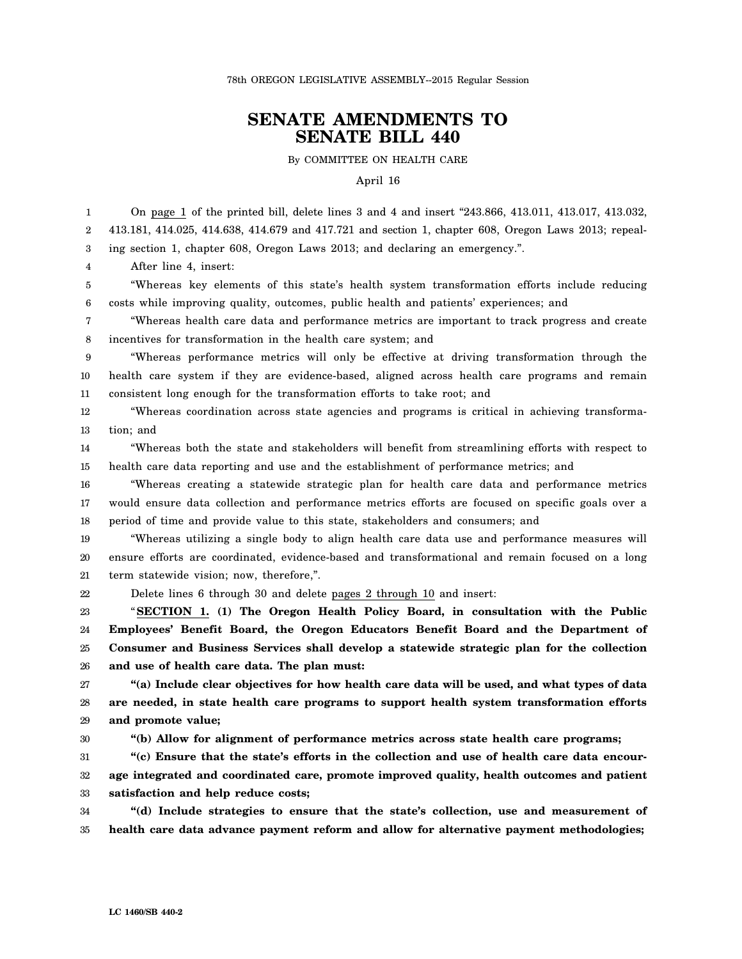## **SENATE AMENDMENTS TO SENATE BILL 440**

By COMMITTEE ON HEALTH CARE

April 16

1 2 3 On page 1 of the printed bill, delete lines 3 and 4 and insert "243.866, 413.011, 413.017, 413.032, 413.181, 414.025, 414.638, 414.679 and 417.721 and section 1, chapter 608, Oregon Laws 2013; repealing section 1, chapter 608, Oregon Laws 2013; and declaring an emergency.".

4 After line 4, insert:

5 6 "Whereas key elements of this state's health system transformation efforts include reducing costs while improving quality, outcomes, public health and patients' experiences; and

7 8 "Whereas health care data and performance metrics are important to track progress and create incentives for transformation in the health care system; and

9 10 11 "Whereas performance metrics will only be effective at driving transformation through the health care system if they are evidence-based, aligned across health care programs and remain consistent long enough for the transformation efforts to take root; and

12 13 "Whereas coordination across state agencies and programs is critical in achieving transformation; and

14 15 "Whereas both the state and stakeholders will benefit from streamlining efforts with respect to health care data reporting and use and the establishment of performance metrics; and

16 17 18 "Whereas creating a statewide strategic plan for health care data and performance metrics would ensure data collection and performance metrics efforts are focused on specific goals over a period of time and provide value to this state, stakeholders and consumers; and

19 20 21 "Whereas utilizing a single body to align health care data use and performance measures will ensure efforts are coordinated, evidence-based and transformational and remain focused on a long term statewide vision; now, therefore,".

22

Delete lines 6 through 30 and delete pages 2 through 10 and insert:

23 24 25 26 "**SECTION 1. (1) The Oregon Health Policy Board, in consultation with the Public Employees' Benefit Board, the Oregon Educators Benefit Board and the Department of Consumer and Business Services shall develop a statewide strategic plan for the collection and use of health care data. The plan must:**

27 28 29 **"(a) Include clear objectives for how health care data will be used, and what types of data are needed, in state health care programs to support health system transformation efforts and promote value;**

30

**"(b) Allow for alignment of performance metrics across state health care programs;**

31 32 33 **"(c) Ensure that the state's efforts in the collection and use of health care data encourage integrated and coordinated care, promote improved quality, health outcomes and patient satisfaction and help reduce costs;**

34 35 **"(d) Include strategies to ensure that the state's collection, use and measurement of health care data advance payment reform and allow for alternative payment methodologies;**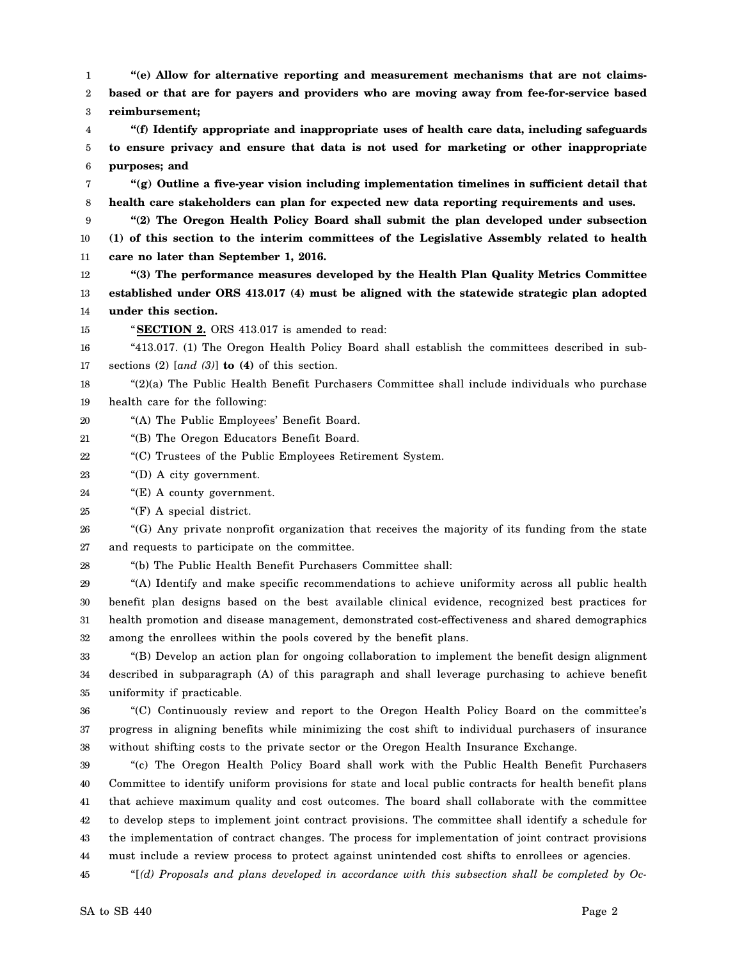1 2 **"(e) Allow for alternative reporting and measurement mechanisms that are not claimsbased or that are for payers and providers who are moving away from fee-for-service based**

3 **reimbursement;**

4 5 6 **"(f) Identify appropriate and inappropriate uses of health care data, including safeguards to ensure privacy and ensure that data is not used for marketing or other inappropriate purposes; and**

7 8 **"(g) Outline a five-year vision including implementation timelines in sufficient detail that health care stakeholders can plan for expected new data reporting requirements and uses.**

9 10 11 **"(2) The Oregon Health Policy Board shall submit the plan developed under subsection (1) of this section to the interim committees of the Legislative Assembly related to health care no later than September 1, 2016.**

12 13 14 **"(3) The performance measures developed by the Health Plan Quality Metrics Committee established under ORS 413.017 (4) must be aligned with the statewide strategic plan adopted under this section.**

15

"**SECTION 2.** ORS 413.017 is amended to read:

16 17 "413.017. (1) The Oregon Health Policy Board shall establish the committees described in subsections (2) [*and (3)*] **to (4)** of this section.

18 19 "(2)(a) The Public Health Benefit Purchasers Committee shall include individuals who purchase health care for the following:

20 "(A) The Public Employees' Benefit Board.

21 "(B) The Oregon Educators Benefit Board.

22 "(C) Trustees of the Public Employees Retirement System.

23 "(D) A city government.

24 "(E) A county government.

25 "(F) A special district.

26 27 "(G) Any private nonprofit organization that receives the majority of its funding from the state and requests to participate on the committee.

28 "(b) The Public Health Benefit Purchasers Committee shall:

29 30 31 32 "(A) Identify and make specific recommendations to achieve uniformity across all public health benefit plan designs based on the best available clinical evidence, recognized best practices for health promotion and disease management, demonstrated cost-effectiveness and shared demographics among the enrollees within the pools covered by the benefit plans.

33 34 35 "(B) Develop an action plan for ongoing collaboration to implement the benefit design alignment described in subparagraph (A) of this paragraph and shall leverage purchasing to achieve benefit uniformity if practicable.

36 37 38 "(C) Continuously review and report to the Oregon Health Policy Board on the committee's progress in aligning benefits while minimizing the cost shift to individual purchasers of insurance without shifting costs to the private sector or the Oregon Health Insurance Exchange.

39 40 41 42 43 44 "(c) The Oregon Health Policy Board shall work with the Public Health Benefit Purchasers Committee to identify uniform provisions for state and local public contracts for health benefit plans that achieve maximum quality and cost outcomes. The board shall collaborate with the committee to develop steps to implement joint contract provisions. The committee shall identify a schedule for the implementation of contract changes. The process for implementation of joint contract provisions must include a review process to protect against unintended cost shifts to enrollees or agencies.

45 "[*(d) Proposals and plans developed in accordance with this subsection shall be completed by Oc-*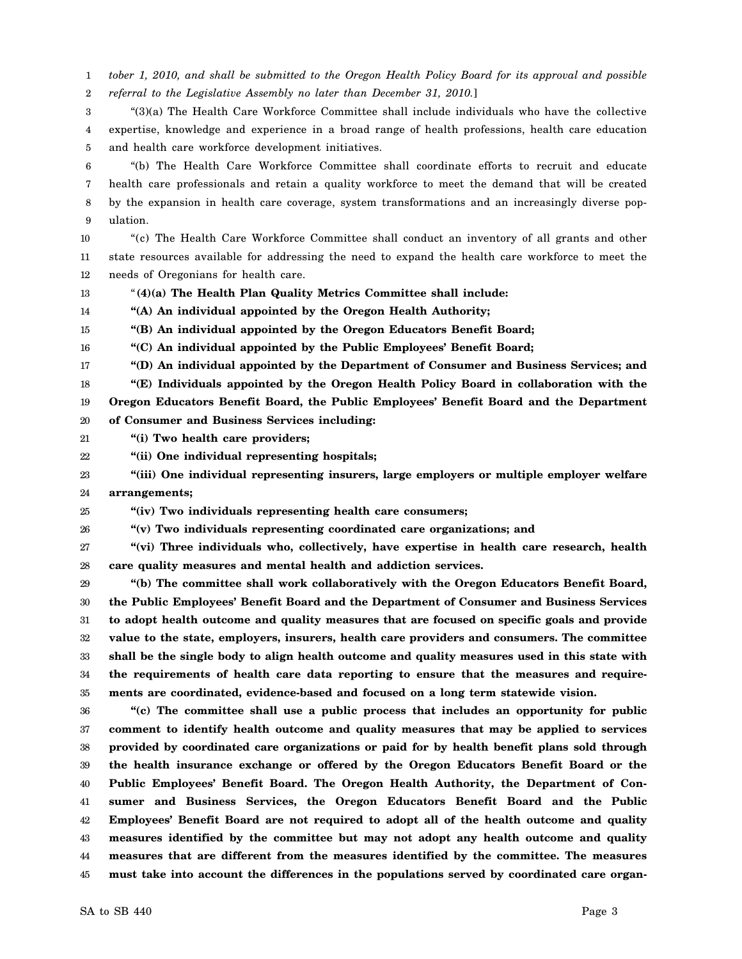1 2 *tober 1, 2010, and shall be submitted to the Oregon Health Policy Board for its approval and possible referral to the Legislative Assembly no later than December 31, 2010.*]

3 4 5 "(3)(a) The Health Care Workforce Committee shall include individuals who have the collective expertise, knowledge and experience in a broad range of health professions, health care education and health care workforce development initiatives.

6 7 8 9 "(b) The Health Care Workforce Committee shall coordinate efforts to recruit and educate health care professionals and retain a quality workforce to meet the demand that will be created by the expansion in health care coverage, system transformations and an increasingly diverse population.

10 11 12 "(c) The Health Care Workforce Committee shall conduct an inventory of all grants and other state resources available for addressing the need to expand the health care workforce to meet the needs of Oregonians for health care.

13 "**(4)(a) The Health Plan Quality Metrics Committee shall include:**

14 **"(A) An individual appointed by the Oregon Health Authority;**

15 **"(B) An individual appointed by the Oregon Educators Benefit Board;**

16 **"(C) An individual appointed by the Public Employees' Benefit Board;**

17 **"(D) An individual appointed by the Department of Consumer and Business Services; and**

18 **"(E) Individuals appointed by the Oregon Health Policy Board in collaboration with the**

19 **Oregon Educators Benefit Board, the Public Employees' Benefit Board and the Department**

20 **of Consumer and Business Services including:**

21 **"(i) Two health care providers;**

22 **"(ii) One individual representing hospitals;**

23 24 **"(iii) One individual representing insurers, large employers or multiple employer welfare arrangements;**

25 **"(iv) Two individuals representing health care consumers;**

26 **"(v) Two individuals representing coordinated care organizations; and**

27 28 **"(vi) Three individuals who, collectively, have expertise in health care research, health care quality measures and mental health and addiction services.**

29 30 31 32 33 34 35 **"(b) The committee shall work collaboratively with the Oregon Educators Benefit Board, the Public Employees' Benefit Board and the Department of Consumer and Business Services to adopt health outcome and quality measures that are focused on specific goals and provide value to the state, employers, insurers, health care providers and consumers. The committee shall be the single body to align health outcome and quality measures used in this state with the requirements of health care data reporting to ensure that the measures and requirements are coordinated, evidence-based and focused on a long term statewide vision.**

36 37 38 39 40 41 42 43 44 45 **"(c) The committee shall use a public process that includes an opportunity for public comment to identify health outcome and quality measures that may be applied to services provided by coordinated care organizations or paid for by health benefit plans sold through the health insurance exchange or offered by the Oregon Educators Benefit Board or the Public Employees' Benefit Board. The Oregon Health Authority, the Department of Consumer and Business Services, the Oregon Educators Benefit Board and the Public Employees' Benefit Board are not required to adopt all of the health outcome and quality measures identified by the committee but may not adopt any health outcome and quality measures that are different from the measures identified by the committee. The measures must take into account the differences in the populations served by coordinated care organ-**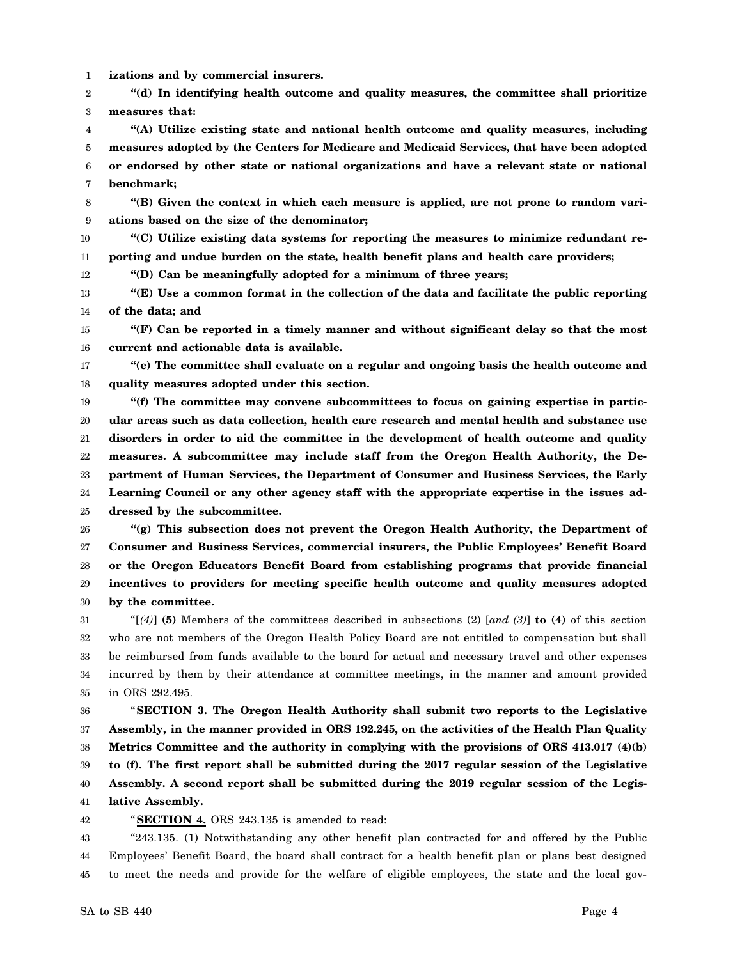1 **izations and by commercial insurers.**

2 3 **"(d) In identifying health outcome and quality measures, the committee shall prioritize measures that:**

- 4 5 6 7 **"(A) Utilize existing state and national health outcome and quality measures, including measures adopted by the Centers for Medicare and Medicaid Services, that have been adopted or endorsed by other state or national organizations and have a relevant state or national benchmark;**
- 8 9 **"(B) Given the context in which each measure is applied, are not prone to random variations based on the size of the denominator;**
- 10 11 **"(C) Utilize existing data systems for reporting the measures to minimize redundant reporting and undue burden on the state, health benefit plans and health care providers;**

12 **"(D) Can be meaningfully adopted for a minimum of three years;**

- 13 14 **"(E) Use a common format in the collection of the data and facilitate the public reporting of the data; and**
- 15 16 **"(F) Can be reported in a timely manner and without significant delay so that the most current and actionable data is available.**
- 17 18 **"(e) The committee shall evaluate on a regular and ongoing basis the health outcome and quality measures adopted under this section.**

19 20 21 22 23 24 25 **"(f) The committee may convene subcommittees to focus on gaining expertise in particular areas such as data collection, health care research and mental health and substance use disorders in order to aid the committee in the development of health outcome and quality measures. A subcommittee may include staff from the Oregon Health Authority, the Department of Human Services, the Department of Consumer and Business Services, the Early Learning Council or any other agency staff with the appropriate expertise in the issues addressed by the subcommittee.**

- 26 27 28 29 30 **"(g) This subsection does not prevent the Oregon Health Authority, the Department of Consumer and Business Services, commercial insurers, the Public Employees' Benefit Board or the Oregon Educators Benefit Board from establishing programs that provide financial incentives to providers for meeting specific health outcome and quality measures adopted by the committee.**
- 31 32 33 34 35 "[*(4)*] **(5)** Members of the committees described in subsections (2) [*and (3)*] **to (4)** of this section who are not members of the Oregon Health Policy Board are not entitled to compensation but shall be reimbursed from funds available to the board for actual and necessary travel and other expenses incurred by them by their attendance at committee meetings, in the manner and amount provided in ORS 292.495.

36 37 38 39 40 41 "**SECTION 3. The Oregon Health Authority shall submit two reports to the Legislative Assembly, in the manner provided in ORS 192.245, on the activities of the Health Plan Quality Metrics Committee and the authority in complying with the provisions of ORS 413.017 (4)(b) to (f). The first report shall be submitted during the 2017 regular session of the Legislative Assembly. A second report shall be submitted during the 2019 regular session of the Legislative Assembly.**

42

"**SECTION 4.** ORS 243.135 is amended to read:

43 44 45 "243.135. (1) Notwithstanding any other benefit plan contracted for and offered by the Public Employees' Benefit Board, the board shall contract for a health benefit plan or plans best designed to meet the needs and provide for the welfare of eligible employees, the state and the local gov-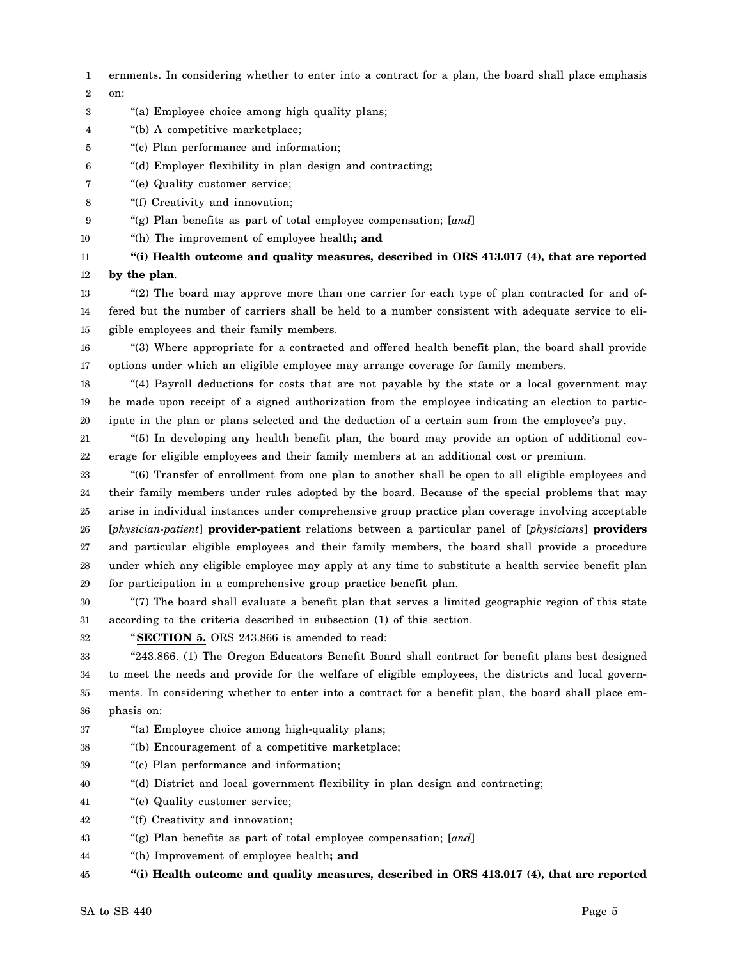- 1 2 ernments. In considering whether to enter into a contract for a plan, the board shall place emphasis on:
- 3 "(a) Employee choice among high quality plans;
- 4 "(b) A competitive marketplace;
- 5 "(c) Plan performance and information;
- 6 "(d) Employer flexibility in plan design and contracting;
- 7 "(e) Quality customer service;
- 8 "(f) Creativity and innovation;
- 9 "(g) Plan benefits as part of total employee compensation; [*and*]
- 10 "(h) The improvement of employee health**; and**

11 12 **"(i) Health outcome and quality measures, described in ORS 413.017 (4), that are reported by the plan**.

- 13 14 15 "(2) The board may approve more than one carrier for each type of plan contracted for and offered but the number of carriers shall be held to a number consistent with adequate service to eligible employees and their family members.
- 16 17 "(3) Where appropriate for a contracted and offered health benefit plan, the board shall provide options under which an eligible employee may arrange coverage for family members.

18 19 20 "(4) Payroll deductions for costs that are not payable by the state or a local government may be made upon receipt of a signed authorization from the employee indicating an election to participate in the plan or plans selected and the deduction of a certain sum from the employee's pay.

21 22 "(5) In developing any health benefit plan, the board may provide an option of additional coverage for eligible employees and their family members at an additional cost or premium.

23 24 25 26 27 28 29 "(6) Transfer of enrollment from one plan to another shall be open to all eligible employees and their family members under rules adopted by the board. Because of the special problems that may arise in individual instances under comprehensive group practice plan coverage involving acceptable [*physician-patient*] **provider-patient** relations between a particular panel of [*physicians*] **providers** and particular eligible employees and their family members, the board shall provide a procedure under which any eligible employee may apply at any time to substitute a health service benefit plan for participation in a comprehensive group practice benefit plan.

30 31 "(7) The board shall evaluate a benefit plan that serves a limited geographic region of this state according to the criteria described in subsection (1) of this section.

"**SECTION 5.** ORS 243.866 is amended to read:

33 34 35 36 "243.866. (1) The Oregon Educators Benefit Board shall contract for benefit plans best designed to meet the needs and provide for the welfare of eligible employees, the districts and local governments. In considering whether to enter into a contract for a benefit plan, the board shall place emphasis on:

- 37 "(a) Employee choice among high-quality plans;
- 38 "(b) Encouragement of a competitive marketplace;
- 39 "(c) Plan performance and information;
- 40 "(d) District and local government flexibility in plan design and contracting;
- 41 "(e) Quality customer service;
- 42 "(f) Creativity and innovation;
- 43 "(g) Plan benefits as part of total employee compensation; [*and*]
- 44 "(h) Improvement of employee health**; and**

45 **"(i) Health outcome and quality measures, described in ORS 413.017 (4), that are reported**

32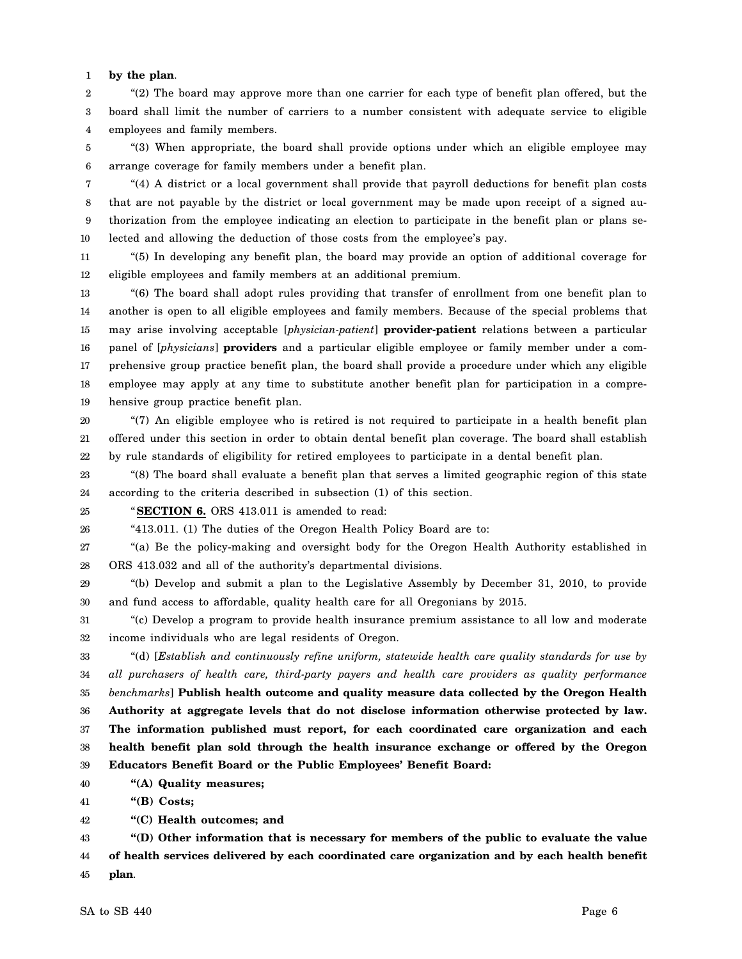## 1 **by the plan**.

2 3 4 "(2) The board may approve more than one carrier for each type of benefit plan offered, but the board shall limit the number of carriers to a number consistent with adequate service to eligible employees and family members.

5 6 "(3) When appropriate, the board shall provide options under which an eligible employee may arrange coverage for family members under a benefit plan.

7 8 9 10 "(4) A district or a local government shall provide that payroll deductions for benefit plan costs that are not payable by the district or local government may be made upon receipt of a signed authorization from the employee indicating an election to participate in the benefit plan or plans selected and allowing the deduction of those costs from the employee's pay.

11 12 "(5) In developing any benefit plan, the board may provide an option of additional coverage for eligible employees and family members at an additional premium.

13 14 15 16 17 18 19 "(6) The board shall adopt rules providing that transfer of enrollment from one benefit plan to another is open to all eligible employees and family members. Because of the special problems that may arise involving acceptable [*physician-patient*] **provider-patient** relations between a particular panel of [*physicians*] **providers** and a particular eligible employee or family member under a comprehensive group practice benefit plan, the board shall provide a procedure under which any eligible employee may apply at any time to substitute another benefit plan for participation in a comprehensive group practice benefit plan.

20 21 22 "(7) An eligible employee who is retired is not required to participate in a health benefit plan offered under this section in order to obtain dental benefit plan coverage. The board shall establish by rule standards of eligibility for retired employees to participate in a dental benefit plan.

23 24 "(8) The board shall evaluate a benefit plan that serves a limited geographic region of this state according to the criteria described in subsection (1) of this section.

25 "**SECTION 6.** ORS 413.011 is amended to read:

26 "413.011. (1) The duties of the Oregon Health Policy Board are to:

27 28 "(a) Be the policy-making and oversight body for the Oregon Health Authority established in ORS 413.032 and all of the authority's departmental divisions.

29 30 "(b) Develop and submit a plan to the Legislative Assembly by December 31, 2010, to provide and fund access to affordable, quality health care for all Oregonians by 2015.

31 32 "(c) Develop a program to provide health insurance premium assistance to all low and moderate income individuals who are legal residents of Oregon.

33 34 35 36 37 38 39 "(d) [*Establish and continuously refine uniform, statewide health care quality standards for use by all purchasers of health care, third-party payers and health care providers as quality performance benchmarks*] **Publish health outcome and quality measure data collected by the Oregon Health Authority at aggregate levels that do not disclose information otherwise protected by law. The information published must report, for each coordinated care organization and each health benefit plan sold through the health insurance exchange or offered by the Oregon Educators Benefit Board or the Public Employees' Benefit Board:**

40 **"(A) Quality measures;**

41 **"(B) Costs;**

42 **"(C) Health outcomes; and**

43 44 45 **"(D) Other information that is necessary for members of the public to evaluate the value of health services delivered by each coordinated care organization and by each health benefit plan**.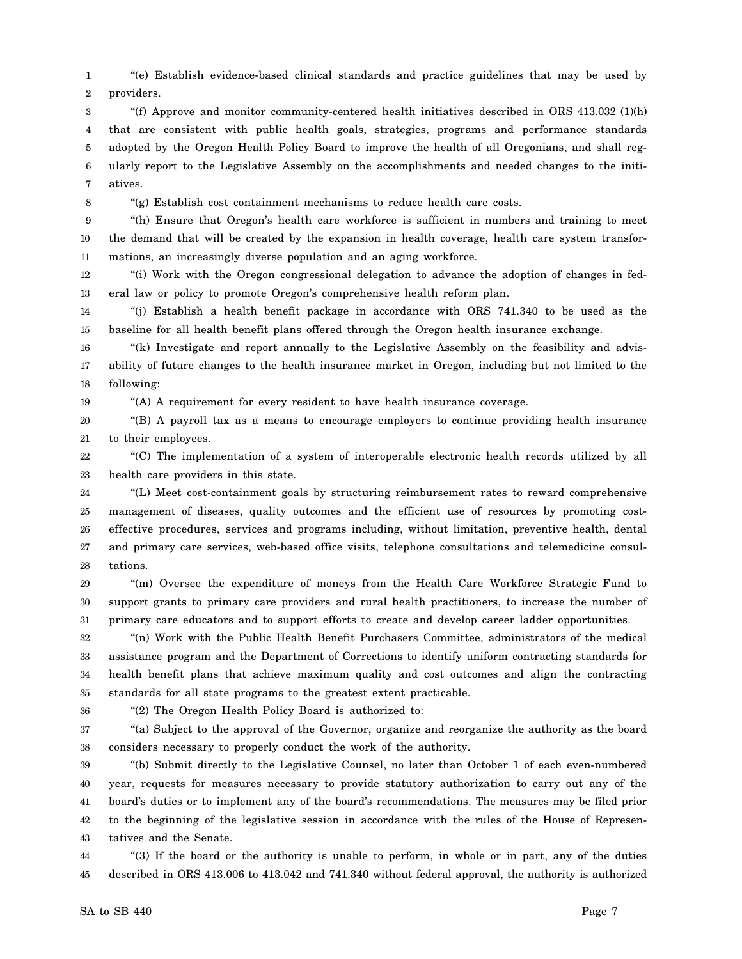1 2 "(e) Establish evidence-based clinical standards and practice guidelines that may be used by providers.

3 4 5 6 7 "(f) Approve and monitor community-centered health initiatives described in ORS 413.032 (1)(h) that are consistent with public health goals, strategies, programs and performance standards adopted by the Oregon Health Policy Board to improve the health of all Oregonians, and shall regularly report to the Legislative Assembly on the accomplishments and needed changes to the initiatives.

8

19

"(g) Establish cost containment mechanisms to reduce health care costs.

9 10 11 "(h) Ensure that Oregon's health care workforce is sufficient in numbers and training to meet the demand that will be created by the expansion in health coverage, health care system transformations, an increasingly diverse population and an aging workforce.

12 13 "(i) Work with the Oregon congressional delegation to advance the adoption of changes in federal law or policy to promote Oregon's comprehensive health reform plan.

14 15 "(j) Establish a health benefit package in accordance with ORS 741.340 to be used as the baseline for all health benefit plans offered through the Oregon health insurance exchange.

16 17 18 "(k) Investigate and report annually to the Legislative Assembly on the feasibility and advisability of future changes to the health insurance market in Oregon, including but not limited to the following:

"(A) A requirement for every resident to have health insurance coverage.

20 21 "(B) A payroll tax as a means to encourage employers to continue providing health insurance to their employees.

22 23 "(C) The implementation of a system of interoperable electronic health records utilized by all health care providers in this state.

24 25 26 27 28 "(L) Meet cost-containment goals by structuring reimbursement rates to reward comprehensive management of diseases, quality outcomes and the efficient use of resources by promoting costeffective procedures, services and programs including, without limitation, preventive health, dental and primary care services, web-based office visits, telephone consultations and telemedicine consultations.

29 30 31 "(m) Oversee the expenditure of moneys from the Health Care Workforce Strategic Fund to support grants to primary care providers and rural health practitioners, to increase the number of primary care educators and to support efforts to create and develop career ladder opportunities.

32 33 34 35 "(n) Work with the Public Health Benefit Purchasers Committee, administrators of the medical assistance program and the Department of Corrections to identify uniform contracting standards for health benefit plans that achieve maximum quality and cost outcomes and align the contracting standards for all state programs to the greatest extent practicable.

36

"(2) The Oregon Health Policy Board is authorized to:

37 38 "(a) Subject to the approval of the Governor, organize and reorganize the authority as the board considers necessary to properly conduct the work of the authority.

39 40 41 42 43 "(b) Submit directly to the Legislative Counsel, no later than October 1 of each even-numbered year, requests for measures necessary to provide statutory authorization to carry out any of the board's duties or to implement any of the board's recommendations. The measures may be filed prior to the beginning of the legislative session in accordance with the rules of the House of Representatives and the Senate.

44 45 "(3) If the board or the authority is unable to perform, in whole or in part, any of the duties described in ORS 413.006 to 413.042 and 741.340 without federal approval, the authority is authorized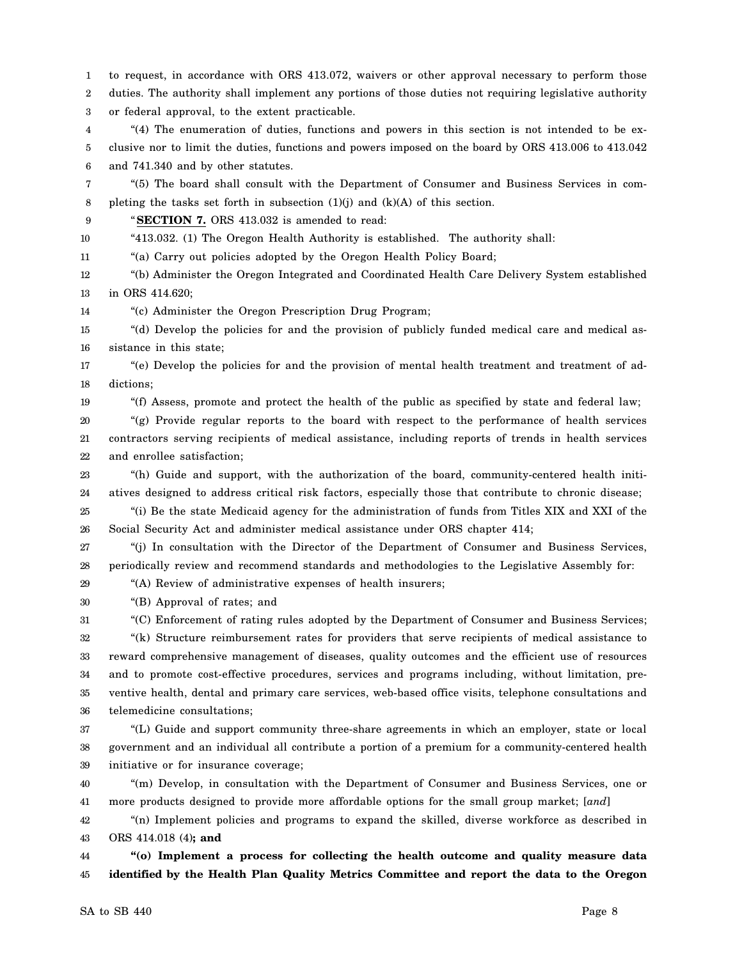1 2 3 4 5 6 7 8 9 10 11 12 13 14 15 16 17 18 19 20 21 22 23 24 25 26 27 28 29 30 31 32 33 34 35 36 37 38 39 40 41 42 43 44 45 to request, in accordance with ORS 413.072, waivers or other approval necessary to perform those duties. The authority shall implement any portions of those duties not requiring legislative authority or federal approval, to the extent practicable. "(4) The enumeration of duties, functions and powers in this section is not intended to be exclusive nor to limit the duties, functions and powers imposed on the board by ORS 413.006 to 413.042 and 741.340 and by other statutes. "(5) The board shall consult with the Department of Consumer and Business Services in completing the tasks set forth in subsection (1)(j) and (k)(A) of this section. "**SECTION 7.** ORS 413.032 is amended to read: "413.032. (1) The Oregon Health Authority is established. The authority shall: "(a) Carry out policies adopted by the Oregon Health Policy Board; "(b) Administer the Oregon Integrated and Coordinated Health Care Delivery System established in ORS 414.620; "(c) Administer the Oregon Prescription Drug Program; "(d) Develop the policies for and the provision of publicly funded medical care and medical assistance in this state; "(e) Develop the policies for and the provision of mental health treatment and treatment of addictions; "(f) Assess, promote and protect the health of the public as specified by state and federal law; "(g) Provide regular reports to the board with respect to the performance of health services contractors serving recipients of medical assistance, including reports of trends in health services and enrollee satisfaction; "(h) Guide and support, with the authorization of the board, community-centered health initiatives designed to address critical risk factors, especially those that contribute to chronic disease; "(i) Be the state Medicaid agency for the administration of funds from Titles XIX and XXI of the Social Security Act and administer medical assistance under ORS chapter 414; "(j) In consultation with the Director of the Department of Consumer and Business Services, periodically review and recommend standards and methodologies to the Legislative Assembly for: "(A) Review of administrative expenses of health insurers; "(B) Approval of rates; and "(C) Enforcement of rating rules adopted by the Department of Consumer and Business Services; "(k) Structure reimbursement rates for providers that serve recipients of medical assistance to reward comprehensive management of diseases, quality outcomes and the efficient use of resources and to promote cost-effective procedures, services and programs including, without limitation, preventive health, dental and primary care services, web-based office visits, telephone consultations and telemedicine consultations; "(L) Guide and support community three-share agreements in which an employer, state or local government and an individual all contribute a portion of a premium for a community-centered health initiative or for insurance coverage; "(m) Develop, in consultation with the Department of Consumer and Business Services, one or more products designed to provide more affordable options for the small group market; [*and*] "(n) Implement policies and programs to expand the skilled, diverse workforce as described in ORS 414.018 (4)**; and "(o) Implement a process for collecting the health outcome and quality measure data identified by the Health Plan Quality Metrics Committee and report the data to the Oregon**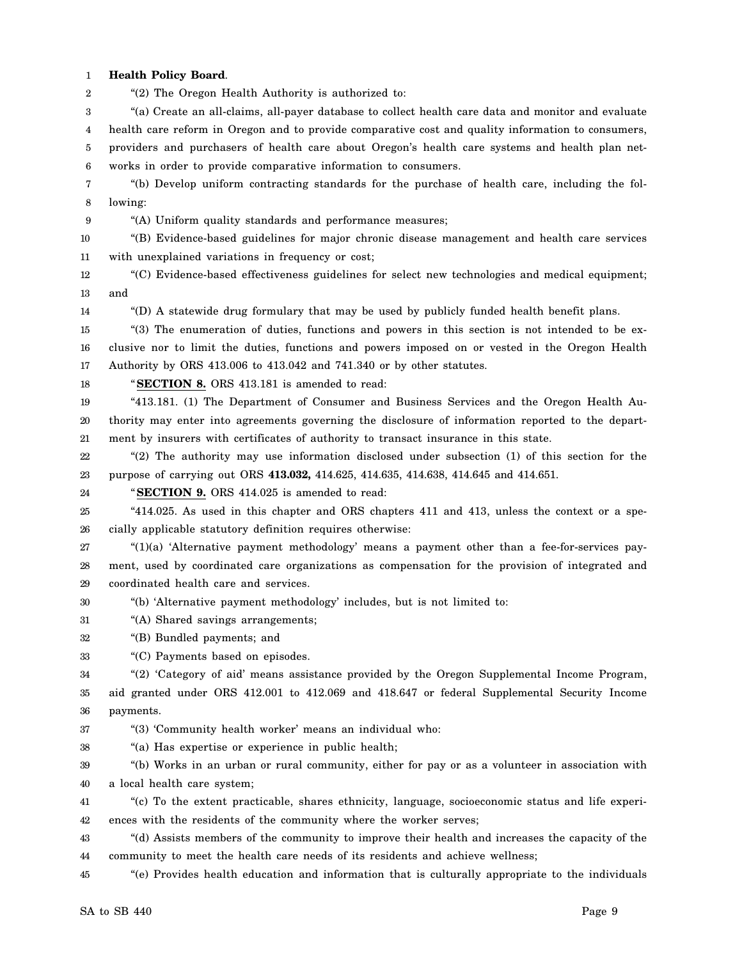1 **Health Policy Board**.

2 "(2) The Oregon Health Authority is authorized to:

3 "(a) Create an all-claims, all-payer database to collect health care data and monitor and evaluate

4 health care reform in Oregon and to provide comparative cost and quality information to consumers,

5 6 providers and purchasers of health care about Oregon's health care systems and health plan networks in order to provide comparative information to consumers.

7 8 "(b) Develop uniform contracting standards for the purchase of health care, including the following:

9

"(A) Uniform quality standards and performance measures;

10 11 "(B) Evidence-based guidelines for major chronic disease management and health care services with unexplained variations in frequency or cost;

12 13 "(C) Evidence-based effectiveness guidelines for select new technologies and medical equipment; and

14 "(D) A statewide drug formulary that may be used by publicly funded health benefit plans.

15 16 17 "(3) The enumeration of duties, functions and powers in this section is not intended to be exclusive nor to limit the duties, functions and powers imposed on or vested in the Oregon Health Authority by ORS 413.006 to 413.042 and 741.340 or by other statutes.

18

"**SECTION 8.** ORS 413.181 is amended to read:

19 20 21 "413.181. (1) The Department of Consumer and Business Services and the Oregon Health Authority may enter into agreements governing the disclosure of information reported to the department by insurers with certificates of authority to transact insurance in this state.

22 23 "(2) The authority may use information disclosed under subsection (1) of this section for the purpose of carrying out ORS **413.032,** 414.625, 414.635, 414.638, 414.645 and 414.651.

24 "**SECTION 9.** ORS 414.025 is amended to read:

25 26 "414.025. As used in this chapter and ORS chapters 411 and 413, unless the context or a specially applicable statutory definition requires otherwise:

27 28 29 "(1)(a) 'Alternative payment methodology' means a payment other than a fee-for-services payment, used by coordinated care organizations as compensation for the provision of integrated and coordinated health care and services.

- 30 "(b) 'Alternative payment methodology' includes, but is not limited to:
- 31 "(A) Shared savings arrangements;

32 "(B) Bundled payments; and

33 "(C) Payments based on episodes.

34 35 "(2) 'Category of aid' means assistance provided by the Oregon Supplemental Income Program, aid granted under ORS 412.001 to 412.069 and 418.647 or federal Supplemental Security Income

36 payments.

37 "(3) 'Community health worker' means an individual who:

38 "(a) Has expertise or experience in public health;

39 40 "(b) Works in an urban or rural community, either for pay or as a volunteer in association with a local health care system;

41 42 "(c) To the extent practicable, shares ethnicity, language, socioeconomic status and life experiences with the residents of the community where the worker serves;

43 44 "(d) Assists members of the community to improve their health and increases the capacity of the community to meet the health care needs of its residents and achieve wellness;

45 "(e) Provides health education and information that is culturally appropriate to the individuals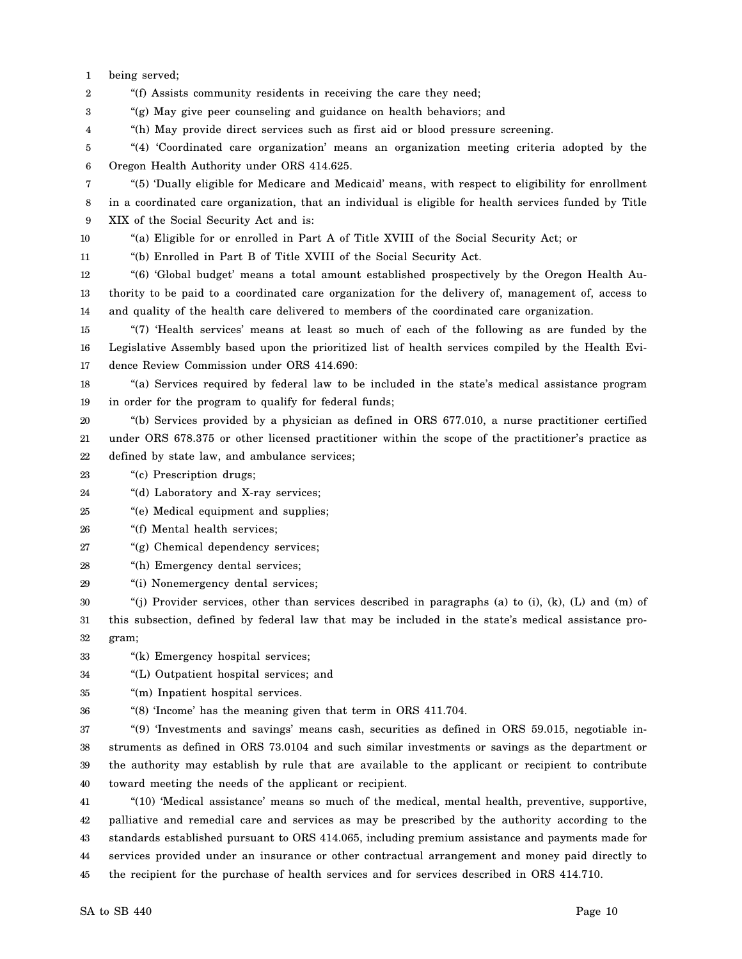1 being served;

2 "(f) Assists community residents in receiving the care they need;

3 "(g) May give peer counseling and guidance on health behaviors; and

4 "(h) May provide direct services such as first aid or blood pressure screening.

5 6 "(4) 'Coordinated care organization' means an organization meeting criteria adopted by the Oregon Health Authority under ORS 414.625.

7 8 9 "(5) 'Dually eligible for Medicare and Medicaid' means, with respect to eligibility for enrollment in a coordinated care organization, that an individual is eligible for health services funded by Title XIX of the Social Security Act and is:

10 "(a) Eligible for or enrolled in Part A of Title XVIII of the Social Security Act; or

11 "(b) Enrolled in Part B of Title XVIII of the Social Security Act.

12 13 14 "(6) 'Global budget' means a total amount established prospectively by the Oregon Health Authority to be paid to a coordinated care organization for the delivery of, management of, access to and quality of the health care delivered to members of the coordinated care organization.

15 16 17 "(7) 'Health services' means at least so much of each of the following as are funded by the Legislative Assembly based upon the prioritized list of health services compiled by the Health Evidence Review Commission under ORS 414.690:

18 19 "(a) Services required by federal law to be included in the state's medical assistance program in order for the program to qualify for federal funds;

20 21 22 "(b) Services provided by a physician as defined in ORS 677.010, a nurse practitioner certified under ORS 678.375 or other licensed practitioner within the scope of the practitioner's practice as defined by state law, and ambulance services;

23 "(c) Prescription drugs;

24 "(d) Laboratory and X-ray services;

25 "(e) Medical equipment and supplies;

26 "(f) Mental health services;

27 "(g) Chemical dependency services;

28 "(h) Emergency dental services;

29 "(i) Nonemergency dental services;

30 31 32 "(j) Provider services, other than services described in paragraphs (a) to (i), (k), (L) and (m) of this subsection, defined by federal law that may be included in the state's medical assistance program;

33 "(k) Emergency hospital services;

34 "(L) Outpatient hospital services; and

35 "(m) Inpatient hospital services.

36 "(8) 'Income' has the meaning given that term in ORS 411.704.

37 38 39 40 "(9) 'Investments and savings' means cash, securities as defined in ORS 59.015, negotiable instruments as defined in ORS 73.0104 and such similar investments or savings as the department or the authority may establish by rule that are available to the applicant or recipient to contribute toward meeting the needs of the applicant or recipient.

41 42 43 44 45 "(10) 'Medical assistance' means so much of the medical, mental health, preventive, supportive, palliative and remedial care and services as may be prescribed by the authority according to the standards established pursuant to ORS 414.065, including premium assistance and payments made for services provided under an insurance or other contractual arrangement and money paid directly to the recipient for the purchase of health services and for services described in ORS 414.710.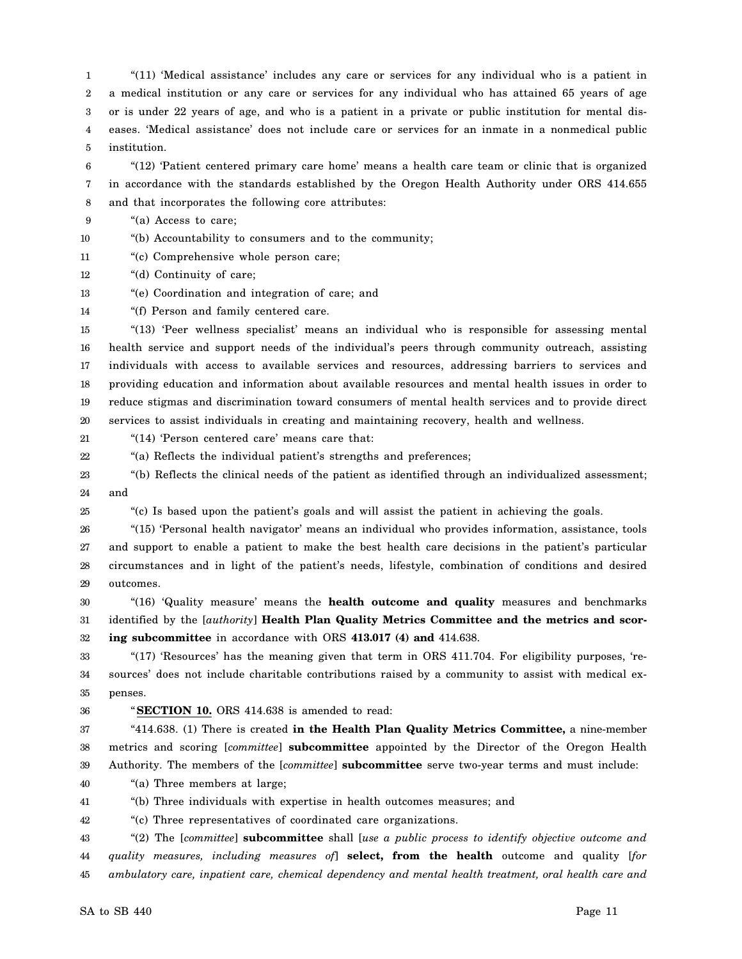1 2 3 4 5 "(11) 'Medical assistance' includes any care or services for any individual who is a patient in a medical institution or any care or services for any individual who has attained 65 years of age or is under 22 years of age, and who is a patient in a private or public institution for mental diseases. 'Medical assistance' does not include care or services for an inmate in a nonmedical public institution.

6 7 8 "(12) 'Patient centered primary care home' means a health care team or clinic that is organized in accordance with the standards established by the Oregon Health Authority under ORS 414.655 and that incorporates the following core attributes:

9 "(a) Access to care;

10 "(b) Accountability to consumers and to the community;

11 "(c) Comprehensive whole person care;

12 "(d) Continuity of care;

13 "(e) Coordination and integration of care; and

14 "(f) Person and family centered care.

15 16 17 18 19 20 "(13) 'Peer wellness specialist' means an individual who is responsible for assessing mental health service and support needs of the individual's peers through community outreach, assisting individuals with access to available services and resources, addressing barriers to services and providing education and information about available resources and mental health issues in order to reduce stigmas and discrimination toward consumers of mental health services and to provide direct services to assist individuals in creating and maintaining recovery, health and wellness.

21 "(14) 'Person centered care' means care that:

22 "(a) Reflects the individual patient's strengths and preferences;

23 24 "(b) Reflects the clinical needs of the patient as identified through an individualized assessment; and

25 "(c) Is based upon the patient's goals and will assist the patient in achieving the goals.

26 27 28 29 "(15) 'Personal health navigator' means an individual who provides information, assistance, tools and support to enable a patient to make the best health care decisions in the patient's particular circumstances and in light of the patient's needs, lifestyle, combination of conditions and desired outcomes.

30 31 32 "(16) 'Quality measure' means the **health outcome and quality** measures and benchmarks identified by the [*authority*] **Health Plan Quality Metrics Committee and the metrics and scoring subcommittee** in accordance with ORS **413.017 (4) and** 414.638.

33 34 35 "(17) 'Resources' has the meaning given that term in ORS 411.704. For eligibility purposes, 'resources' does not include charitable contributions raised by a community to assist with medical expenses.

36 "**SECTION 10.** ORS 414.638 is amended to read:

37 38 39 "414.638. (1) There is created **in the Health Plan Quality Metrics Committee,** a nine-member metrics and scoring [*committee*] **subcommittee** appointed by the Director of the Oregon Health Authority. The members of the [*committee*] **subcommittee** serve two-year terms and must include:

40 "(a) Three members at large;

41 "(b) Three individuals with expertise in health outcomes measures; and

42 "(c) Three representatives of coordinated care organizations.

43 44 45 "(2) The [*committee*] **subcommittee** shall [*use a public process to identify objective outcome and quality measures, including measures of*] **select, from the health** outcome and quality [*for ambulatory care, inpatient care, chemical dependency and mental health treatment, oral health care and*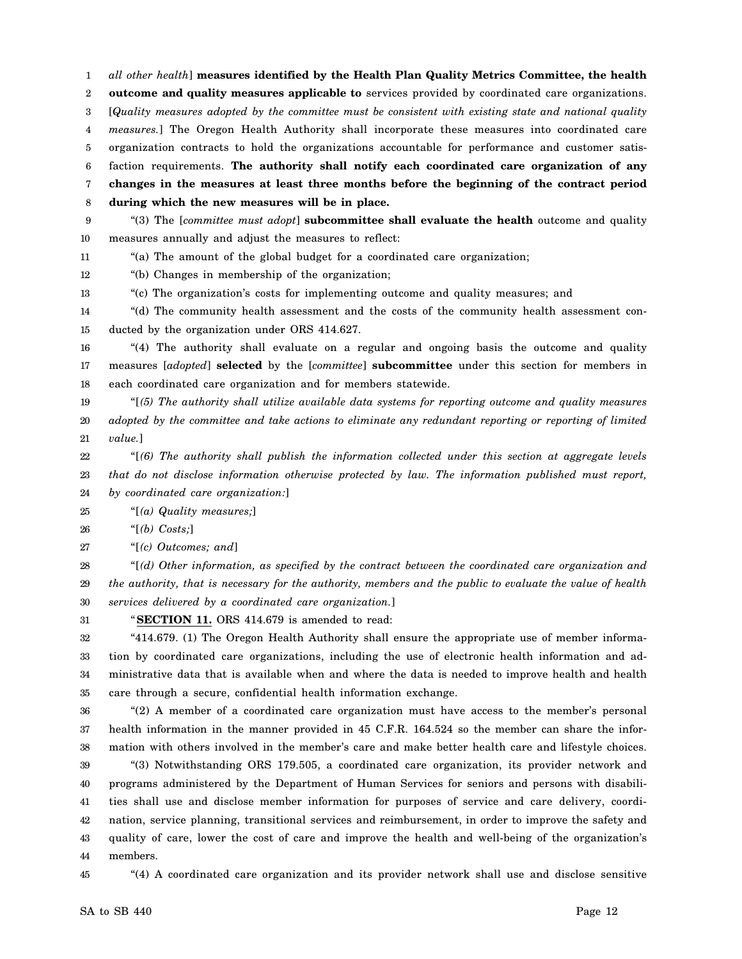1 2 3 4 5 6 7 8 9 *all other health*] **measures identified by the Health Plan Quality Metrics Committee, the health outcome and quality measures applicable to** services provided by coordinated care organizations. [*Quality measures adopted by the committee must be consistent with existing state and national quality measures.*] The Oregon Health Authority shall incorporate these measures into coordinated care organization contracts to hold the organizations accountable for performance and customer satisfaction requirements. **The authority shall notify each coordinated care organization of any changes in the measures at least three months before the beginning of the contract period during which the new measures will be in place.** "(3) The [*committee must adopt*] **subcommittee shall evaluate the health** outcome and quality

10 measures annually and adjust the measures to reflect:

11 "(a) The amount of the global budget for a coordinated care organization;

12 "(b) Changes in membership of the organization;

13 "(c) The organization's costs for implementing outcome and quality measures; and

14 15 "(d) The community health assessment and the costs of the community health assessment conducted by the organization under ORS 414.627.

16 17 18 "(4) The authority shall evaluate on a regular and ongoing basis the outcome and quality measures [*adopted*] **selected** by the [*committee*] **subcommittee** under this section for members in each coordinated care organization and for members statewide.

19 20 21 "[*(5) The authority shall utilize available data systems for reporting outcome and quality measures adopted by the committee and take actions to eliminate any redundant reporting or reporting of limited value.*]

22 23 24 "[*(6) The authority shall publish the information collected under this section at aggregate levels that do not disclose information otherwise protected by law. The information published must report, by coordinated care organization:*]

25 "[*(a) Quality measures;*]

26 "[*(b) Costs;*]

27 "[*(c) Outcomes; and*]

28 29 30 "[*(d) Other information, as specified by the contract between the coordinated care organization and the authority, that is necessary for the authority, members and the public to evaluate the value of health services delivered by a coordinated care organization.*]

31 "**SECTION 11.** ORS 414.679 is amended to read:

32 33 34 35 "414.679. (1) The Oregon Health Authority shall ensure the appropriate use of member information by coordinated care organizations, including the use of electronic health information and administrative data that is available when and where the data is needed to improve health and health care through a secure, confidential health information exchange.

36 37 38 "(2) A member of a coordinated care organization must have access to the member's personal health information in the manner provided in 45 C.F.R. 164.524 so the member can share the information with others involved in the member's care and make better health care and lifestyle choices.

39 40 41 42 43 44 "(3) Notwithstanding ORS 179.505, a coordinated care organization, its provider network and programs administered by the Department of Human Services for seniors and persons with disabilities shall use and disclose member information for purposes of service and care delivery, coordination, service planning, transitional services and reimbursement, in order to improve the safety and quality of care, lower the cost of care and improve the health and well-being of the organization's members.

45

"(4) A coordinated care organization and its provider network shall use and disclose sensitive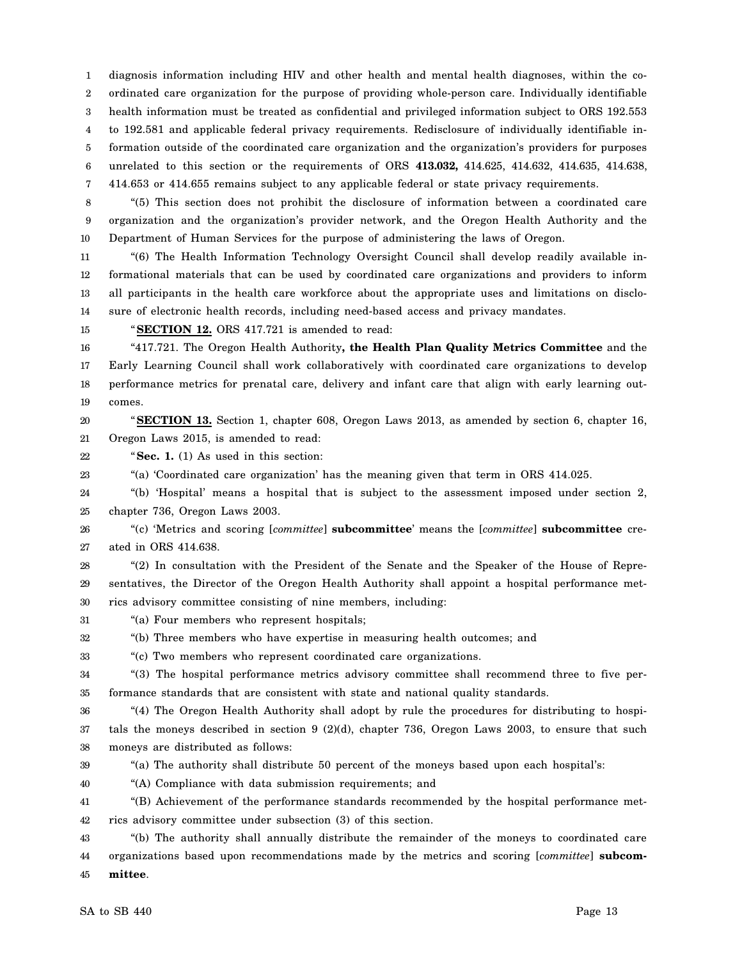1 2 3 4 5 6 7 diagnosis information including HIV and other health and mental health diagnoses, within the coordinated care organization for the purpose of providing whole-person care. Individually identifiable health information must be treated as confidential and privileged information subject to ORS 192.553 to 192.581 and applicable federal privacy requirements. Redisclosure of individually identifiable information outside of the coordinated care organization and the organization's providers for purposes unrelated to this section or the requirements of ORS **413.032,** 414.625, 414.632, 414.635, 414.638, 414.653 or 414.655 remains subject to any applicable federal or state privacy requirements.

8 9 10 "(5) This section does not prohibit the disclosure of information between a coordinated care organization and the organization's provider network, and the Oregon Health Authority and the Department of Human Services for the purpose of administering the laws of Oregon.

11 12 13 14 "(6) The Health Information Technology Oversight Council shall develop readily available informational materials that can be used by coordinated care organizations and providers to inform all participants in the health care workforce about the appropriate uses and limitations on disclosure of electronic health records, including need-based access and privacy mandates.

15

"**SECTION 12.** ORS 417.721 is amended to read:

16 17 18 19 "417.721. The Oregon Health Authority**, the Health Plan Quality Metrics Committee** and the Early Learning Council shall work collaboratively with coordinated care organizations to develop performance metrics for prenatal care, delivery and infant care that align with early learning outcomes.

20 21 "**SECTION 13.** Section 1, chapter 608, Oregon Laws 2013, as amended by section 6, chapter 16, Oregon Laws 2015, is amended to read:

22 "**Sec. 1.** (1) As used in this section:

23 "(a) 'Coordinated care organization' has the meaning given that term in ORS 414.025.

24 25 "(b) 'Hospital' means a hospital that is subject to the assessment imposed under section 2, chapter 736, Oregon Laws 2003.

26 27 "(c) 'Metrics and scoring [*committee*] **subcommittee**' means the [*committee*] **subcommittee** created in ORS 414.638.

28 29 30 "(2) In consultation with the President of the Senate and the Speaker of the House of Representatives, the Director of the Oregon Health Authority shall appoint a hospital performance metrics advisory committee consisting of nine members, including:

31 "(a) Four members who represent hospitals;

32 "(b) Three members who have expertise in measuring health outcomes; and

33 "(c) Two members who represent coordinated care organizations.

34 35 "(3) The hospital performance metrics advisory committee shall recommend three to five performance standards that are consistent with state and national quality standards.

36 37 38 "(4) The Oregon Health Authority shall adopt by rule the procedures for distributing to hospitals the moneys described in section 9 (2)(d), chapter 736, Oregon Laws 2003, to ensure that such moneys are distributed as follows:

39 40

"(a) The authority shall distribute 50 percent of the moneys based upon each hospital's:

"(A) Compliance with data submission requirements; and

41 42 "(B) Achievement of the performance standards recommended by the hospital performance metrics advisory committee under subsection (3) of this section.

43 44 45 "(b) The authority shall annually distribute the remainder of the moneys to coordinated care organizations based upon recommendations made by the metrics and scoring [*committee*] **subcommittee**.